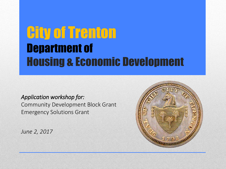### City of Trenton Department of Housing & Economic Development

*Application workshop for:* 

Community Development Block Grant Emergency Solutions Grant

*June 2, 2017*

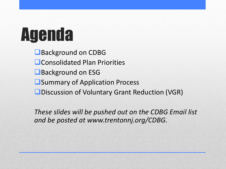# Agenda

Background on CDBG **L** Consolidated Plan Priorities Background on ESG **OSummary of Application Process ODiscussion of Voluntary Grant Reduction (VGR)** 

*These slides will be pushed out on the CDBG Email list and be posted at www.trentonnj.org/CDBG.*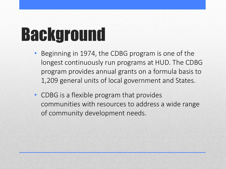# Background

- Beginning in 1974, the CDBG program is one of the longest continuously run programs at HUD. The CDBG program provides annual grants on a formula basis to 1,209 general units of local government and States.
- CDBG is a flexible program that provides communities with resources to address a wide range of community development needs.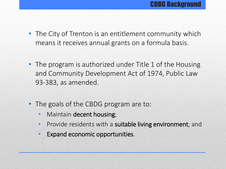- The City of Trenton is an entitlement community which means it receives annual grants on a formula basis.
- The program is authorized under Title 1 of the Housing and Community Development Act of 1974, Public Law 93-383, as amended.
- The goals of the CBDG program are to:
	- Maintain decent housing;
	- Provide residents with a suitable living environment; and
	- Expand economic opportunities.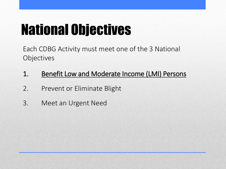# National Objectives

Each CDBG Activity must meet one of the 3 National **Objectives** 

#### 1. Benefit Low and Moderate Income (LMI) Persons

- 2. Prevent or Eliminate Blight
- 3. Meet an Urgent Need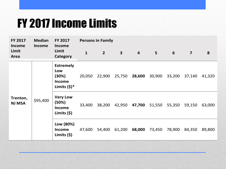### FY 2017 Income Limits

| FY 2017<br><b>Income</b>  | <b>Median</b><br><b>Income</b> | <b>FY 2017</b><br><b>Income</b><br>Limit<br>Category                | <b>Persons in Family</b> |                |              |                |                |        |                         |        |
|---------------------------|--------------------------------|---------------------------------------------------------------------|--------------------------|----------------|--------------|----------------|----------------|--------|-------------------------|--------|
| Limit<br>Area             |                                |                                                                     | $\mathbf{1}$             | $\overline{2}$ | $\mathbf{3}$ | $\overline{4}$ | $5\phantom{1}$ | 6      | $\overline{\mathbf{z}}$ | 8      |
| Trenton,<br><b>NJ MSA</b> | \$95,400                       | <b>Extremely</b><br>Low<br>(30%)<br><b>Income</b><br>Limits $(5)^*$ | 20,050                   | 22,900         | 25,750       | 28,600         | 30,900         | 33,200 | 37,140                  | 41,320 |
|                           |                                | <b>Very Low</b><br>(50%)<br><b>Income</b><br>Limits $(5)$           | 33,400                   | 38,200         | 42,950       | 47,700         | 51,550         | 55,350 | 59,150                  | 63,000 |
|                           |                                | Low (80%)<br><b>Income</b><br>Limits $(5)$                          | 47,600                   | 54,400         | 61,200       | 68,000         | 73,450         | 78,900 | 84,350                  | 89,800 |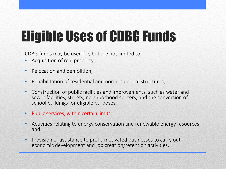# Eligible Uses of CDBG Funds

CDBG funds may be used for, but are not limited to:

- Acquisition of real property;
- Relocation and demolition;
- Rehabilitation of residential and non-residential structures;
- Construction of public facilities and improvements, such as water and sewer facilities, streets, neighborhood centers, and the conversion of school buildings for eligible purposes;
- Public services, within certain limits;
- Activities relating to energy conservation and renewable energy resources; and
- Provision of assistance to profit-motivated businesses to carry out economic development and job creation/retention activities.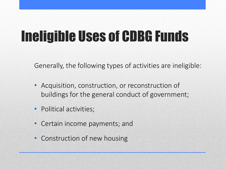## Ineligible Uses of CDBG Funds

Generally, the following types of activities are ineligible:

- Acquisition, construction, or reconstruction of buildings for the general conduct of government;
- Political activities;
- Certain income payments; and
- Construction of new housing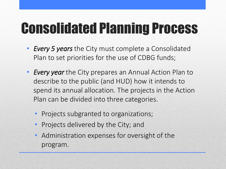# Consolidated Planning Process

- *Every 5 years* the City must complete a Consolidated Plan to set priorities for the use of CDBG funds;
- *Every year* the City prepares an Annual Action Plan to describe to the public (and HUD) how it intends to spend its annual allocation. The projects in the Action Plan can be divided into three categories.
	- Projects subgranted to organizations;
	- Projects delivered by the City; and
	- Administration expenses for oversight of the program.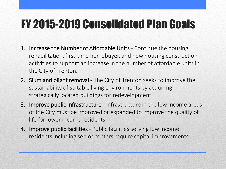### FY 2015-2019 Consolidated Plan Goals

- 1. Increase the Number of Affordable Units Continue the housing rehabilitation, first-time homebuyer, and new housing construction activities to support an increase in the number of affordable units in the City of Trenton.
- 2. Slum and blight removal The City of Trenton seeks to improve the sustainability of suitable living environments by acquiring strategically located buildings for redevelopment.
- 3. Improve public infrastructure Infrastructure in the low income areas of the City must be improved or expanded to improve the quality of life for lower income residents.
- 4. Improve public facilities Public facilities serving low income residents including senior centers require capital improvements.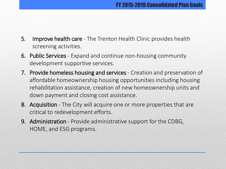- 5. Improve health care The Trenton Health Clinic provides health screening activities.
- 6. Public Services Expand and continue non-housing community development supportive services.
- 7. Provide homeless housing and services Creation and preservation of affordable homeownership housing opportunities including housing rehabilitation assistance, creation of new homeownership units and down payment and closing cost assistance.
- 8. Acquisition The City will acquire one or more properties that are critical to redevelopment efforts.
- 9. Administration Provide administrative support for the CDBG, HOME, and ESG programs.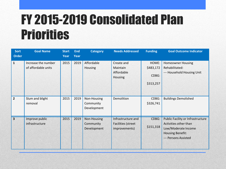### FY 2015-2019 Consolidated Plan Priorities

| <b>Sort</b>             | <b>Goal Name</b>                           | <b>Start</b> | <b>End</b> | <b>Category</b>                         | <b>Needs Addressed</b>                                           | <b>Funding</b>                           | <b>Goal Outcome Indicator</b>                                                                                                        |
|-------------------------|--------------------------------------------|--------------|------------|-----------------------------------------|------------------------------------------------------------------|------------------------------------------|--------------------------------------------------------------------------------------------------------------------------------------|
| <b>Order</b>            |                                            | Year         | Year       |                                         |                                                                  |                                          |                                                                                                                                      |
| $\mathbf{1}$            | Increase the number<br>of affordable units | 2015         | 2019       | Affordable<br><b>Housing</b>            | Create and<br>Maintain<br>Affordable<br>Housing                  | HOME:<br>\$483,172<br>CDBG:<br>\$313,257 | <b>Homeowner Housing</b><br>Rehabilitated:<br>--- Household Housing Unit                                                             |
| $\overline{2}$          | Slum and blight<br>removal                 | 2015         | 2019       | Non-Housing<br>Community<br>Development | Demolition                                                       | CDBG:<br>\$326,741                       | <b>Buildings Demolished</b>                                                                                                          |
| $\overline{\mathbf{3}}$ | Improve public<br>infrastructure           | 2015         | 2019       | Non-Housing<br>Community<br>Development | Infrastructure and<br><b>Facilities (street</b><br>improvements) | CDBG:<br>\$151,318                       | Public Facility or Infrastructure<br>Activities other than<br>Low/Moderate Income<br><b>Housing Benefit:</b><br>--- Persons Assisted |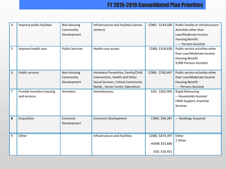#### FY 2015-2019 Consolidated Plan Priorities

| $\overline{4}$ | Improve public facilities                | Non-Housing<br>Community<br>Development | Infrastructure and Facilities (senior<br>centers)                                                                                             | CDBG: \$144,580                                   | Public Facility or Infrastructure<br>Activities other than<br>Low/Moderate Income<br><b>Housing Benefit:</b><br>----- Persons Assisted |
|----------------|------------------------------------------|-----------------------------------------|-----------------------------------------------------------------------------------------------------------------------------------------------|---------------------------------------------------|----------------------------------------------------------------------------------------------------------------------------------------|
| 5              | Improve health care                      | <b>Public Services</b>                  | Health care access                                                                                                                            | CDBG: \$104,838                                   | Public service activities other<br>than Low/Moderate Income<br><b>Housing Benefit:</b><br>9,000 Persons Assisted                       |
| 6              | <b>Public services</b>                   | Non-Housing<br>Community<br>Development | Homeless Prevention, Family/Child<br>Intervention, Health and Other<br>Social Services, Critical Community<br>Needs, Senior Center Operations | CDBG: \$760,467                                   | Public service activities other<br>than Low/Moderate Income<br><b>Housing Benefit:</b><br>---- Persons Assisted                        |
| $\overline{7}$ | Provide homeless housing<br>and services | Homeless                                | Homelessness                                                                                                                                  | ESG: \$202,905                                    | Rapid Rehousing:<br>-- Households Assisted<br><b>HMIS Support, Essential</b><br><b>Services</b>                                        |
| 8              | Acquisition                              | Economic<br>Development                 | <b>Economic Development</b>                                                                                                                   | CDBG: \$96,387                                    | --- Buildings Acquired                                                                                                                 |
| 9              | Other                                    |                                         | Infrastructure and Facilities                                                                                                                 | CDBG: \$474,397<br>HOME \$53,686<br>ESG: \$16,451 | Other:<br>1 Other                                                                                                                      |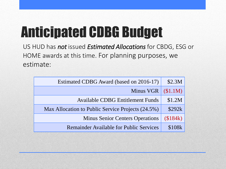# Anticipated CDBG Budget

US HUD has *not* issued *Estimated Allocations* for CBDG, ESG or HOME awards at this time. For planning purposes, we estimate:

| Estimated CDBG Award (based on 2016-17)           | \$2.3M   |
|---------------------------------------------------|----------|
| Minus VGR                                         | (\$1.1M) |
| <b>Available CDBG Entitlement Funds</b>           | \$1.2M   |
| Max Allocation to Public Service Projects (24.5%) | \$292k   |
| <b>Minus Senior Centers Operations</b>            | (\$184k) |
| <b>Remainder Available for Public Services</b>    | \$108k   |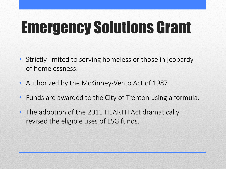# Emergency Solutions Grant

- Strictly limited to serving homeless or those in jeopardy of homelessness.
- Authorized by the McKinney-Vento Act of 1987.
- Funds are awarded to the City of Trenton using a formula.
- The adoption of the 2011 HEARTH Act dramatically revised the eligible uses of ESG funds.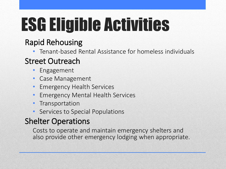# ESG Eligible Activities

### Rapid Rehousing

• Tenant-based Rental Assistance for homeless individuals

#### Street Outreach

- Engagement
- Case Management
- Emergency Health Services
- Emergency Mental Health Services
- **Transportation**
- Services to Special Populations

#### Shelter Operations

Costs to operate and maintain emergency shelters and also provide other emergency lodging when appropriate.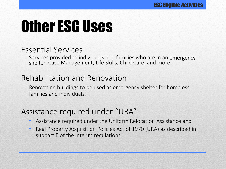# Other ESG Uses

#### Essential Services

Services provided to individuals and families who are in an emergency shelter: Case Management, Life Skills, Child Care; and more.

#### Rehabilitation and Renovation

Renovating buildings to be used as emergency shelter for homeless families and individuals.

#### Assistance required under "URA"

- Assistance required under the Uniform Relocation Assistance and
- Real Property Acquisition Policies Act of 1970 (URA) as described in subpart E of the interim regulations.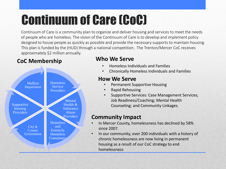### Continuum of Care (CoC)

Continuum of Care is a community plan to organize and deliver housing and services to meet the needs of people who are homeless. The vision of the Continuum of Care is to develop and implement policy designed to house people as quickly as possible and provide the necessary supports to maintain housing. This plan is funded by the (HUD) through a national competition. The Trenton/Mercer CoC receives approximately \$2 million annually.

#### **CoC Membership Who We Serve**



- Homeless Individuals and Families
- Chronically Homeless Individuals and Families

#### **How We Serve**

- Permanent Supportive Housing
- Rapid Rehousing
- Supportive Services: Case Management Services; Job Readiness/Coaching; Mental Health Counseling; and Community Linkages.

#### **Community Impact**

- In Mercer County, homelessness has declined by 58% since 2007.
- In our community, over 200 individuals with a history of chronic homelessness are now living in permanent housing as a result of our CoC strategy to end homelessness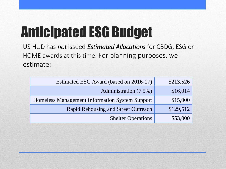# Anticipated ESG Budget

US HUD has *not* issued *Estimated Allocations* for CBDG, ESG or HOME awards at this time. For planning purposes, we estimate:

| Estimated ESG Award (based on 2016-17)         | \$213,526 |
|------------------------------------------------|-----------|
| Administration (7.5%)                          | \$16,014  |
| Homeless Management Information System Support | \$15,000  |
| <b>Rapid Rehousing and Street Outreach</b>     | \$129,512 |
| <b>Shelter Operations</b>                      | \$53,000  |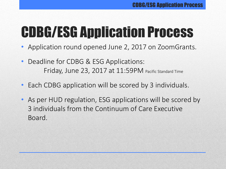# CDBG/ESG Application Process

- Application round opened June 2, 2017 on ZoomGrants.
- Deadline for CDBG & ESG Applications: Friday, June 23, 2017 at 11:59PM Pacific Standard Time
- Each CDBG application will be scored by 3 individuals.
- As per HUD regulation, ESG applications will be scored by 3 individuals from the Continuum of Care Executive Board.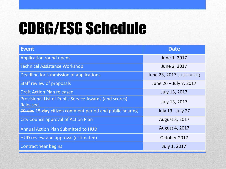# CDBG/ESG Schedule

| <b>Event</b>                                                        | <b>Date</b>                 |
|---------------------------------------------------------------------|-----------------------------|
| <b>Application round opens</b>                                      | June 1, 2017                |
| <b>Technical Assistance Workshop</b>                                | June 2, 2017                |
| Deadline for submission of applications                             | June 23, 2017 (11:59PM PST) |
| Staff review of proposals                                           | June 26 - July 7, 2017      |
| <b>Draft Action Plan released</b>                                   | July 13, 2017               |
| Provisional List of Public Service Awards (and scores)<br>Released. | July 13, 2017               |
| 30-day 15-day citizen comment period and public hearing             | <b>July 13 - July 27</b>    |
| <b>City Council approval of Action Plan</b>                         | August 3, 2017              |
| <b>Annual Action Plan Submitted to HUD</b>                          | August 4, 2017              |
| HUD review and approval (estimated)                                 | October 2017                |
| <b>Contract Year begins</b>                                         | July 1, 2017                |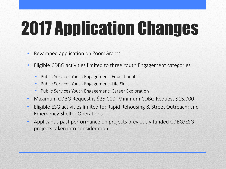# 2017 Application Changes

- Revamped application on ZoomGrants
- Eligible CDBG activities limited to three Youth Engagement categories
	- Public Services Youth Engagement: Educational
	- Public Services Youth Engagement: Life Skills
	- Public Services Youth Engagement: Career Exploration
- Maximum CDBG Request is \$25,000; Minimum CDBG Request \$15,000
- Eligible ESG activities limited to: Rapid Rehousing & Street Outreach; and Emergency Shelter Operations
- Applicant's past performance on projects previously funded CDBG/ESG projects taken into consideration.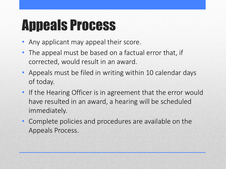### Appeals Process

- Any applicant may appeal their score.
- The appeal must be based on a factual error that, if corrected, would result in an award.
- Appeals must be filed in writing within 10 calendar days of today.
- If the Hearing Officer is in agreement that the error would have resulted in an award, a hearing will be scheduled immediately.
- Complete policies and procedures are available on the Appeals Process.